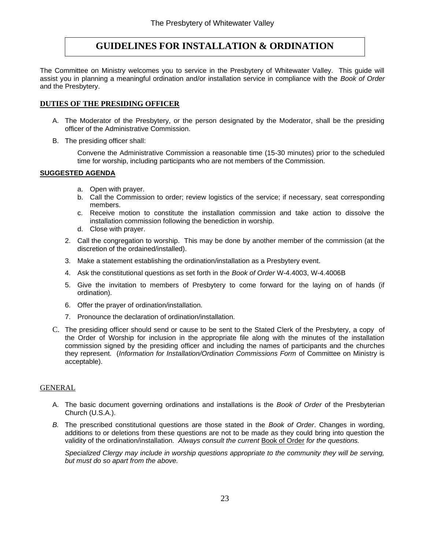# **GUIDELINES FOR INSTALLATION & ORDINATION**

The Committee on Ministry welcomes you to service in the Presbytery of Whitewater Valley. This guide will assist you in planning a meaningful ordination and/or installation service in compliance with the *Book of Order* and the Presbytery.

## **DUTIES OF THE PRESIDING OFFICER**

- A. The Moderator of the Presbytery, or the person designated by the Moderator, shall be the presiding officer of the Administrative Commission.
- B. The presiding officer shall:

Convene the Administrative Commission a reasonable time (15-30 minutes) prior to the scheduled time for worship, including participants who are not members of the Commission.

### **SUGGESTED AGENDA**

- a. Open with prayer.
- b. Call the Commission to order; review logistics of the service; if necessary, seat corresponding members.
- c. Receive motion to constitute the installation commission and take action to dissolve the installation commission following the benediction in worship.
- d. Close with prayer.
- 2. Call the congregation to worship. This may be done by another member of the commission (at the discretion of the ordained/installed).
- 3. Make a statement establishing the ordination/installation as a Presbytery event.
- 4. Ask the constitutional questions as set forth in the *Book of Order* W-4.4003, W-4.4006B
- 5. Give the invitation to members of Presbytery to come forward for the laying on of hands (if ordination).
- 6. Offer the prayer of ordination/installation.
- 7. Pronounce the declaration of ordination/installation.
- C. The presiding officer should send or cause to be sent to the Stated Clerk of the Presbytery, a copy of the Order of Worship for inclusion in the appropriate file along with the minutes of the installation commission signed by the presiding officer and including the names of participants and the churches they represent. (*Information for Installation/Ordination Commissions Form* of Committee on Ministry is acceptable).

## GENERAL

- A. The basic document governing ordinations and installations is the *Book of Order* of the Presbyterian Church (U.S.A.).
- *B.* The prescribed constitutional questions are those stated in the *Book of Order*. Changes in wording, additions to or deletions from these questions are not to be made as they could bring into question the validity of the ordination/installation. *Always consult the current* Book of Order *for the questions.*

*Specialized Clergy may include in worship questions appropriate to the community they will be serving, but must do so apart from the above.*